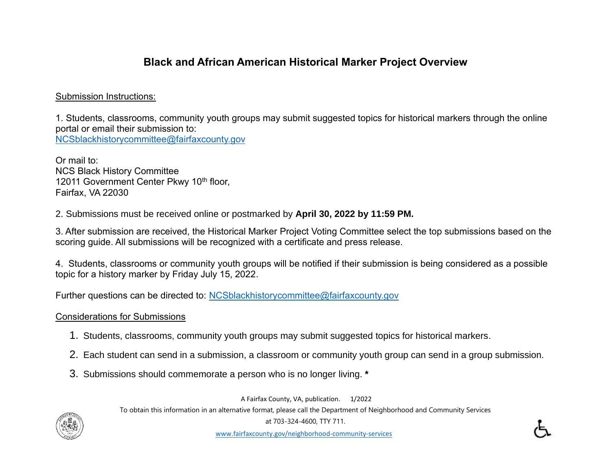## **Black and African American Historical Marker Project Overview**

## Submission Instructions:

1. Students, classrooms, community youth groups may submit suggested topics for historical markers through the online portal or email their submission to: [NCSblackhistorycommittee@fairfaxcounty.gov](mailto:NCSblackhistorycommittee@fairfaxcounty.gov)

Or mail to: NCS Black History Committee 12011 Government Center Pkwy 10<sup>th</sup> floor, Fairfax, VA 22030

2. Submissions must be received online or postmarked by **April 30, 2022 by 11:59 PM.**

3. After submission are received, the Historical Marker Project Voting Committee select the top submissions based on the scoring guide. All submissions will be recognized with a certificate and press release.

4. Students, classrooms or community youth groups will be notified if their submission is being considered as a possible topic for a history marker by Friday July 15, 2022.

Further questions can be directed to: [NCSblackhistorycommittee@fairfaxcounty.gov](mailto:NCSblackhistorycommittee@fairfaxcounty.gov)

## Considerations for Submissions

- 1. Students, classrooms, community youth groups may submit suggested topics for historical markers.
- 2. Each student can send in a submission, a classroom or community youth group can send in a group submission.
- 3. Submissions should commemorate a person who is no longer living. **\***

A Fairfax County, VA, publication. 1/2022

To obtain this information in an alternative format, please call the Department of Neighborhood and Community Services



at 703-324-4600, TTY 711.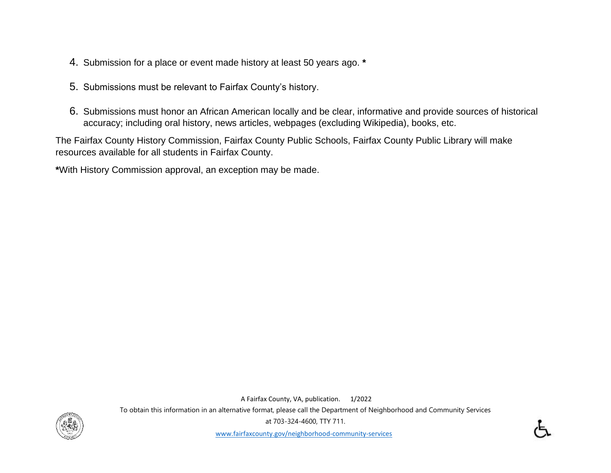- 4. Submission for a place or event made history at least 50 years ago. **\***
- 5. Submissions must be relevant to Fairfax County's history.
- 6. Submissions must honor an African American locally and be clear, informative and provide sources of historical accuracy; including oral history, news articles, webpages (excluding Wikipedia), books, etc.

The Fairfax County History Commission, Fairfax County Public Schools, Fairfax County Public Library will make resources available for all students in Fairfax County.

**\***With History Commission approval, an exception may be made.

A Fairfax County, VA, publication. 1/2022



To obtain this information in an alternative format, please call the Department of Neighborhood and Community Services at 703-324-4600, TTY 711.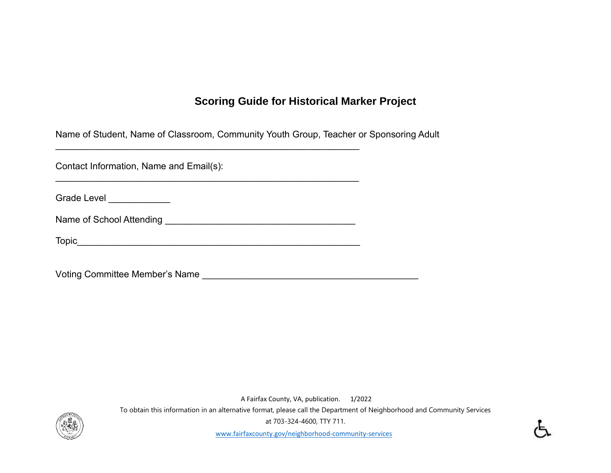## **Scoring Guide for Historical Marker Project**

Name of Student, Name of Classroom, Community Youth Group, Teacher or Sponsoring Adult

 $\mathcal{L}_\mathcal{L}$  , and the set of the set of the set of the set of the set of the set of the set of the set of the set of the set of the set of the set of the set of the set of the set of the set of the set of the set of th

Contact Information, Name and Email(s):

Grade Level \_\_\_\_\_\_\_\_\_\_\_\_\_

Name of School Attending \_\_\_\_\_\_\_\_\_\_\_\_\_\_\_\_\_\_\_\_\_\_\_\_\_\_\_\_\_\_\_\_\_\_\_\_\_

\_\_\_\_\_\_\_\_\_\_\_\_\_\_\_\_\_\_\_\_\_\_\_\_\_\_\_\_\_\_\_\_\_\_\_\_\_\_\_\_\_\_\_\_\_\_\_\_\_\_\_\_\_\_\_\_\_\_\_

Topic\_\_\_\_\_\_\_\_\_\_\_\_\_\_\_\_\_\_\_\_\_\_\_\_\_\_\_\_\_\_\_\_\_\_\_\_\_\_\_\_\_\_\_\_\_\_\_\_\_\_\_\_\_\_\_

Voting Committee Member's Name \_\_\_\_\_\_\_\_\_\_\_\_\_\_\_\_\_\_\_\_\_\_\_\_\_\_\_\_\_\_\_\_\_\_\_\_\_\_\_\_\_\_

A Fairfax County, VA, publication. 1/2022



To obtain this information in an alternative format, please call the Department of Neighborhood and Community Services at 703-324-4600, TTY 711.

[www.fairfaxcounty.gov/neighborhood-community-services](https://www.fairfaxcounty.gov/neighborhood-community-services)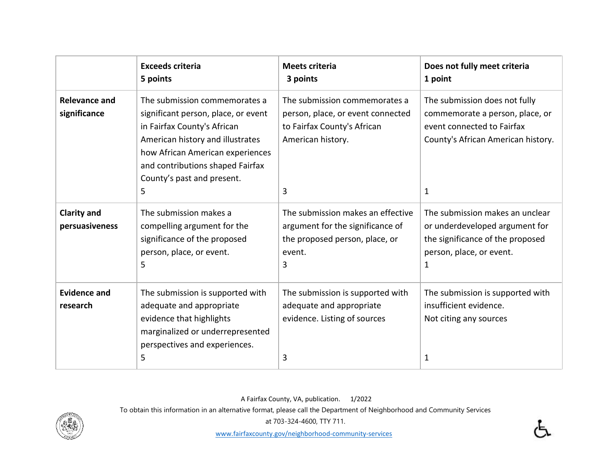|                                      | <b>Exceeds criteria</b><br>5 points                                                                                                                                                                                                                | Meets criteria<br>3 points                                                                                                  | Does not fully meet criteria<br>1 point                                                                                                   |
|--------------------------------------|----------------------------------------------------------------------------------------------------------------------------------------------------------------------------------------------------------------------------------------------------|-----------------------------------------------------------------------------------------------------------------------------|-------------------------------------------------------------------------------------------------------------------------------------------|
| <b>Relevance and</b><br>significance | The submission commemorates a<br>significant person, place, or event<br>in Fairfax County's African<br>American history and illustrates<br>how African American experiences<br>and contributions shaped Fairfax<br>County's past and present.<br>5 | The submission commemorates a<br>person, place, or event connected<br>to Fairfax County's African<br>American history.<br>3 | The submission does not fully<br>commemorate a person, place, or<br>event connected to Fairfax<br>County's African American history.<br>1 |
| <b>Clarity and</b><br>persuasiveness | The submission makes a<br>compelling argument for the<br>significance of the proposed<br>person, place, or event.<br>5                                                                                                                             | The submission makes an effective<br>argument for the significance of<br>the proposed person, place, or<br>event.<br>3      | The submission makes an unclear<br>or underdeveloped argument for<br>the significance of the proposed<br>person, place, or event.<br>1    |
| <b>Evidence and</b><br>research      | The submission is supported with<br>adequate and appropriate<br>evidence that highlights<br>marginalized or underrepresented<br>perspectives and experiences.<br>5                                                                                 | The submission is supported with<br>adequate and appropriate<br>evidence. Listing of sources<br>3                           | The submission is supported with<br>insufficient evidence.<br>Not citing any sources<br>1                                                 |

A Fairfax County, VA, publication. 1/2022

To obtain this information in an alternative format, please call the Department of Neighborhood and Community Services



at 703-324-4600, TTY 711.